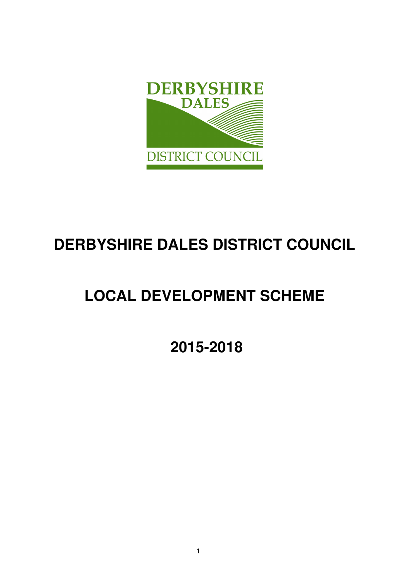

# **DERBYSHIRE DALES DISTRICT COUNCIL**

# **LOCAL DEVELOPMENT SCHEME**

 **2015-2018**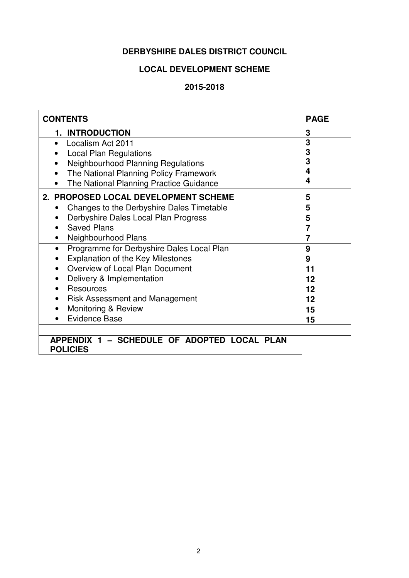# **DERBYSHIRE DALES DISTRICT COUNCIL**

# **LOCAL DEVELOPMENT SCHEME**

# **2015-2018**

| <b>CONTENTS</b>                                                | <b>PAGE</b>    |
|----------------------------------------------------------------|----------------|
| <b>1. INTRODUCTION</b>                                         | 3              |
| Localism Act 2011                                              | 3              |
| <b>Local Plan Regulations</b>                                  | 3              |
| Neighbourhood Planning Regulations                             | 3              |
| The National Planning Policy Framework                         | 4              |
| The National Planning Practice Guidance                        | 4              |
| 2. PROPOSED LOCAL DEVELOPMENT SCHEME                           | 5              |
| Changes to the Derbyshire Dales Timetable<br>$\bullet$         | 5              |
| Derbyshire Dales Local Plan Progress                           | 5              |
| <b>Saved Plans</b>                                             | $\overline{7}$ |
| Neighbourhood Plans                                            | 7              |
| Programme for Derbyshire Dales Local Plan<br>$\bullet$         | 9              |
| <b>Explanation of the Key Milestones</b>                       | 9              |
| Overview of Local Plan Document                                | 11             |
| Delivery & Implementation                                      | 12             |
| <b>Resources</b>                                               | 12             |
| <b>Risk Assessment and Management</b>                          | 12             |
| Monitoring & Review                                            | 15             |
| <b>Evidence Base</b>                                           | 15             |
|                                                                |                |
| APPENDIX 1 - SCHEDULE OF ADOPTED LOCAL PLAN<br><b>POLICIES</b> |                |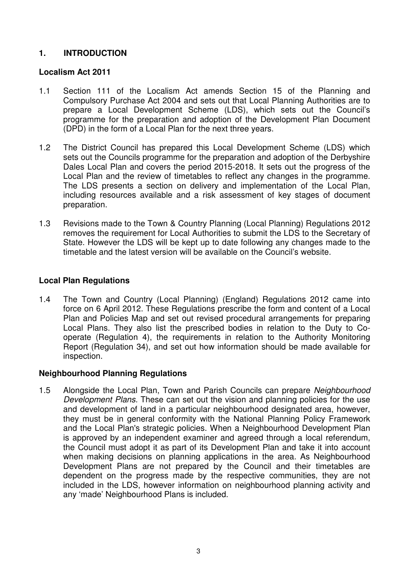# **1. INTRODUCTION**

## **Localism Act 2011**

- 1.1 Section 111 of the Localism Act amends Section 15 of the Planning and Compulsory Purchase Act 2004 and sets out that Local Planning Authorities are to prepare a Local Development Scheme (LDS), which sets out the Council's programme for the preparation and adoption of the Development Plan Document (DPD) in the form of a Local Plan for the next three years.
- 1.2 The District Council has prepared this Local Development Scheme (LDS) which sets out the Councils programme for the preparation and adoption of the Derbyshire Dales Local Plan and covers the period 2015-2018. It sets out the progress of the Local Plan and the review of timetables to reflect any changes in the programme. The LDS presents a section on delivery and implementation of the Local Plan, including resources available and a risk assessment of key stages of document preparation.
- 1.3 Revisions made to the Town & Country Planning (Local Planning) Regulations 2012 removes the requirement for Local Authorities to submit the LDS to the Secretary of State. However the LDS will be kept up to date following any changes made to the timetable and the latest version will be available on the Council's website.

## **Local Plan Regulations**

1.4 The Town and Country (Local Planning) (England) Regulations 2012 came into force on 6 April 2012. These Regulations prescribe the form and content of a Local Plan and Policies Map and set out revised procedural arrangements for preparing Local Plans. They also list the prescribed bodies in relation to the Duty to Cooperate (Regulation 4), the requirements in relation to the Authority Monitoring Report (Regulation 34), and set out how information should be made available for inspection.

#### **Neighbourhood Planning Regulations**

1.5 Alongside the Local Plan, Town and Parish Councils can prepare Neighbourhood Development Plans. These can set out the vision and planning policies for the use and development of land in a particular neighbourhood designated area, however, they must be in general conformity with the National Planning Policy Framework and the Local Plan's strategic policies. When a Neighbourhood Development Plan is approved by an independent examiner and agreed through a local referendum, the Council must adopt it as part of its Development Plan and take it into account when making decisions on planning applications in the area. As Neighbourhood Development Plans are not prepared by the Council and their timetables are dependent on the progress made by the respective communities, they are not included in the LDS, however information on neighbourhood planning activity and any 'made' Neighbourhood Plans is included.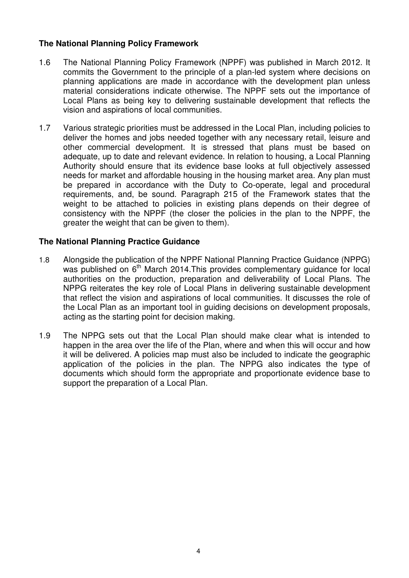# **The National Planning Policy Framework**

- 1.6 The National Planning Policy Framework (NPPF) was published in March 2012. It commits the Government to the principle of a plan-led system where decisions on planning applications are made in accordance with the development plan unless material considerations indicate otherwise. The NPPF sets out the importance of Local Plans as being key to delivering sustainable development that reflects the vision and aspirations of local communities.
- 1.7 Various strategic priorities must be addressed in the Local Plan, including policies to deliver the homes and jobs needed together with any necessary retail, leisure and other commercial development. It is stressed that plans must be based on adequate, up to date and relevant evidence. In relation to housing, a Local Planning Authority should ensure that its evidence base looks at full objectively assessed needs for market and affordable housing in the housing market area. Any plan must be prepared in accordance with the Duty to Co-operate, legal and procedural requirements, and, be sound. Paragraph 215 of the Framework states that the weight to be attached to policies in existing plans depends on their degree of consistency with the NPPF (the closer the policies in the plan to the NPPF, the greater the weight that can be given to them).

## **The National Planning Practice Guidance**

- 1.8 Alongside the publication of the NPPF National Planning Practice Guidance (NPPG) was published on 6<sup>th</sup> March 2014. This provides complementary guidance for local authorities on the production, preparation and deliverability of Local Plans. The NPPG reiterates the key role of Local Plans in delivering sustainable development that reflect the vision and aspirations of local communities. It discusses the role of the Local Plan as an important tool in guiding decisions on development proposals, acting as the starting point for decision making.
- 1.9 The NPPG sets out that the Local Plan should make clear what is intended to happen in the area over the life of the Plan, where and when this will occur and how it will be delivered. A policies map must also be included to indicate the geographic application of the policies in the plan. The NPPG also indicates the type of documents which should form the appropriate and proportionate evidence base to support the preparation of a Local Plan.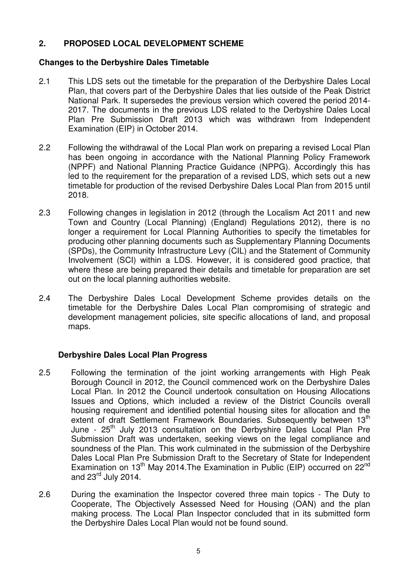# **2. PROPOSED LOCAL DEVELOPMENT SCHEME**

# **Changes to the Derbyshire Dales Timetable**

- 2.1 This LDS sets out the timetable for the preparation of the Derbyshire Dales Local Plan, that covers part of the Derbyshire Dales that lies outside of the Peak District National Park. It supersedes the previous version which covered the period 2014- 2017. The documents in the previous LDS related to the Derbyshire Dales Local Plan Pre Submission Draft 2013 which was withdrawn from Independent Examination (EIP) in October 2014.
- 2.2 Following the withdrawal of the Local Plan work on preparing a revised Local Plan has been ongoing in accordance with the National Planning Policy Framework (NPPF) and National Planning Practice Guidance (NPPG). Accordingly this has led to the requirement for the preparation of a revised LDS, which sets out a new timetable for production of the revised Derbyshire Dales Local Plan from 2015 until 2018.
- 2.3 Following changes in legislation in 2012 (through the Localism Act 2011 and new Town and Country (Local Planning) (England) Regulations 2012), there is no longer a requirement for Local Planning Authorities to specify the timetables for producing other planning documents such as Supplementary Planning Documents (SPDs), the Community Infrastructure Levy (CIL) and the Statement of Community Involvement (SCI) within a LDS. However, it is considered good practice, that where these are being prepared their details and timetable for preparation are set out on the local planning authorities website.
- 2.4 The Derbyshire Dales Local Development Scheme provides details on the timetable for the Derbyshire Dales Local Plan compromising of strategic and development management policies, site specific allocations of land, and proposal maps.

#### **Derbyshire Dales Local Plan Progress**

- 2.5 Following the termination of the joint working arrangements with High Peak Borough Council in 2012, the Council commenced work on the Derbyshire Dales Local Plan. In 2012 the Council undertook consultation on Housing Allocations Issues and Options, which included a review of the District Councils overall housing requirement and identified potential housing sites for allocation and the extent of draft Settlement Framework Boundaries. Subsequently between 13<sup>th</sup> June - 25<sup>th</sup> July 2013 consultation on the Derbyshire Dales Local Plan Pre Submission Draft was undertaken, seeking views on the legal compliance and soundness of the Plan. This work culminated in the submission of the Derbyshire Dales Local Plan Pre Submission Draft to the Secretary of State for Independent Examination on 13<sup>th</sup> May 2014. The Examination in Public (EIP) occurred on 22<sup>nd</sup> and  $23<sup>rd</sup>$  July 2014.
- 2.6 During the examination the Inspector covered three main topics The Duty to Cooperate, The Objectively Assessed Need for Housing (OAN) and the plan making process. The Local Plan Inspector concluded that in its submitted form the Derbyshire Dales Local Plan would not be found sound.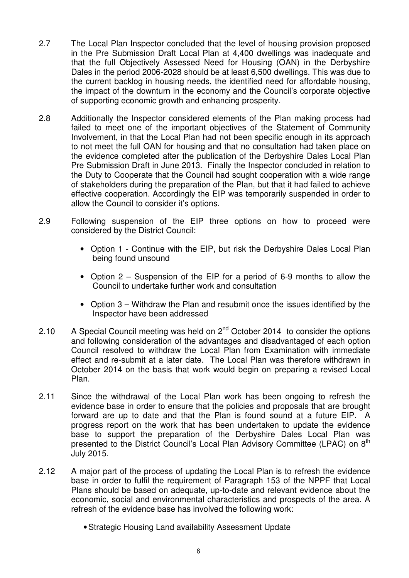- 2.7 The Local Plan Inspector concluded that the level of housing provision proposed in the Pre Submission Draft Local Plan at 4,400 dwellings was inadequate and that the full Objectively Assessed Need for Housing (OAN) in the Derbyshire Dales in the period 2006-2028 should be at least 6,500 dwellings. This was due to the current backlog in housing needs, the identified need for affordable housing, the impact of the downturn in the economy and the Council's corporate objective of supporting economic growth and enhancing prosperity.
- 2.8 Additionally the Inspector considered elements of the Plan making process had failed to meet one of the important objectives of the Statement of Community Involvement, in that the Local Plan had not been specific enough in its approach to not meet the full OAN for housing and that no consultation had taken place on the evidence completed after the publication of the Derbyshire Dales Local Plan Pre Submission Draft in June 2013. Finally the Inspector concluded in relation to the Duty to Cooperate that the Council had sought cooperation with a wide range of stakeholders during the preparation of the Plan, but that it had failed to achieve effective cooperation. Accordingly the EIP was temporarily suspended in order to allow the Council to consider it's options.
- 2.9 Following suspension of the EIP three options on how to proceed were considered by the District Council:
	- Option 1 Continue with the EIP, but risk the Derbyshire Dales Local Plan being found unsound
	- Option 2 Suspension of the EIP for a period of 6-9 months to allow the Council to undertake further work and consultation
	- Option 3 Withdraw the Plan and resubmit once the issues identified by the Inspector have been addressed
- 2.10 A Special Council meeting was held on  $2^{nd}$  October 2014 to consider the options and following consideration of the advantages and disadvantaged of each option Council resolved to withdraw the Local Plan from Examination with immediate effect and re-submit at a later date. The Local Plan was therefore withdrawn in October 2014 on the basis that work would begin on preparing a revised Local Plan.
- 2.11 Since the withdrawal of the Local Plan work has been ongoing to refresh the evidence base in order to ensure that the policies and proposals that are brought forward are up to date and that the Plan is found sound at a future EIP. A progress report on the work that has been undertaken to update the evidence base to support the preparation of the Derbyshire Dales Local Plan was presented to the District Council's Local Plan Advisory Committee (LPAC) on 8<sup>th</sup> July 2015.
- 2.12 A major part of the process of updating the Local Plan is to refresh the evidence base in order to fulfil the requirement of Paragraph 153 of the NPPF that Local Plans should be based on adequate, up-to-date and relevant evidence about the economic, social and environmental characteristics and prospects of the area. A refresh of the evidence base has involved the following work:
	- Strategic Housing Land availability Assessment Update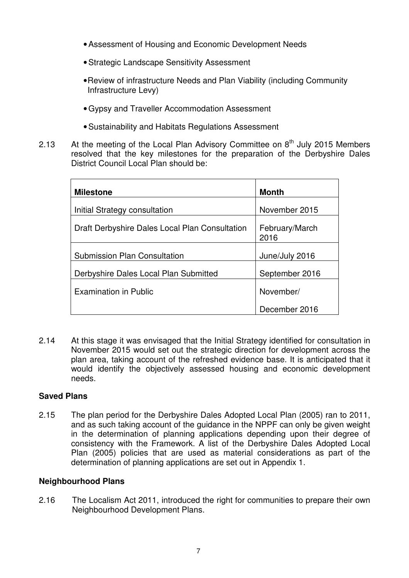- Assessment of Housing and Economic Development Needs
- Strategic Landscape Sensitivity Assessment
- Review of infrastructure Needs and Plan Viability (including Community Infrastructure Levy)
- Gypsy and Traveller Accommodation Assessment
- Sustainability and Habitats Regulations Assessment
- 2.13 At the meeting of the Local Plan Advisory Committee on  $8<sup>th</sup>$  July 2015 Members resolved that the key milestones for the preparation of the Derbyshire Dales District Council Local Plan should be:

| <b>Milestone</b>                               | <b>Month</b>           |
|------------------------------------------------|------------------------|
| Initial Strategy consultation                  | November 2015          |
| Draft Derbyshire Dales Local Plan Consultation | February/March<br>2016 |
| <b>Submission Plan Consultation</b>            | June/July 2016         |
| Derbyshire Dales Local Plan Submitted          | September 2016         |
| <b>Examination in Public</b>                   | November/              |
|                                                | December 2016          |

2.14 At this stage it was envisaged that the Initial Strategy identified for consultation in November 2015 would set out the strategic direction for development across the plan area, taking account of the refreshed evidence base. It is anticipated that it would identify the objectively assessed housing and economic development needs.

# **Saved Plans**

2.15 The plan period for the Derbyshire Dales Adopted Local Plan (2005) ran to 2011, and as such taking account of the guidance in the NPPF can only be given weight in the determination of planning applications depending upon their degree of consistency with the Framework. A list of the Derbyshire Dales Adopted Local Plan (2005) policies that are used as material considerations as part of the determination of planning applications are set out in Appendix 1.

# **Neighbourhood Plans**

2.16 The Localism Act 2011, introduced the right for communities to prepare their own Neighbourhood Development Plans.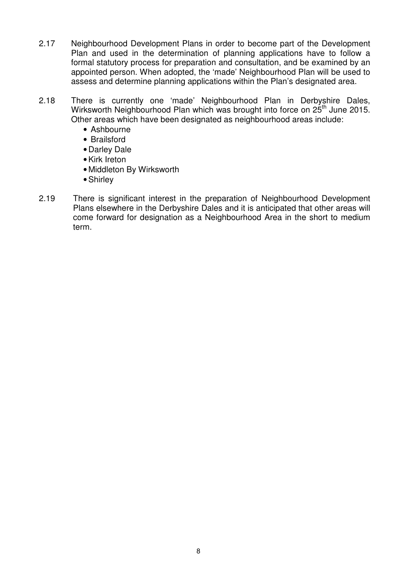- 2.17 Neighbourhood Development Plans in order to become part of the Development Plan and used in the determination of planning applications have to follow a formal statutory process for preparation and consultation, and be examined by an appointed person. When adopted, the 'made' Neighbourhood Plan will be used to assess and determine planning applications within the Plan's designated area.
- 2.18 There is currently one 'made' Neighbourhood Plan in Derbyshire Dales, Wirksworth Neighbourhood Plan which was brought into force on 25<sup>th</sup> June 2015. Other areas which have been designated as neighbourhood areas include:
	- Ashbourne
	- Brailsford
	- Darley Dale
	- Kirk Ireton
	- Middleton By Wirksworth
	- Shirley
- 2.19 There is significant interest in the preparation of Neighbourhood Development Plans elsewhere in the Derbyshire Dales and it is anticipated that other areas will come forward for designation as a Neighbourhood Area in the short to medium term.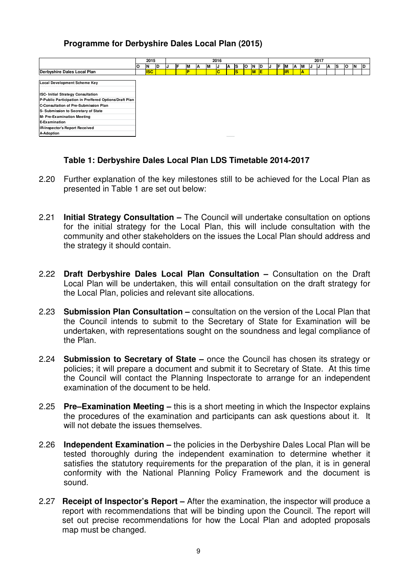# **Programme for Derbyshire Dales Local Plan (2015)**

|                                                        |    | 2016<br>2015 |    |    | 2017 |   |   |   |   |           |    |     |     |  |     |           |    |    |    |  |    |    |    |     |    |
|--------------------------------------------------------|----|--------------|----|----|------|---|---|---|---|-----------|----|-----|-----|--|-----|-----------|----|----|----|--|----|----|----|-----|----|
|                                                        | ΙO | ΙN           | ID | IJ | IF   |   | M |   | А | Is        | ΙO | ΙN  | ID  |  | IF. | <b>IM</b> | ΙA | ΙM | IJ |  | ΙA | ΙS | ΙO | IN. | ID |
| Derbyshire Dales Local Plan                            |    | <b>ISC</b>   |    |    |      | D |   | c |   | <b>IS</b> |    | IM. | IE. |  |     | lıR       |    | A  |    |  |    |    |    |     |    |
| Local Development Scheme Key                           |    |              |    |    |      |   |   |   |   |           |    |     |     |  |     |           |    |    |    |  |    |    |    |     |    |
| ISC- Initial Strategy Consultation                     |    |              |    |    |      |   |   |   |   |           |    |     |     |  |     |           |    |    |    |  |    |    |    |     |    |
| P-Public Participation in Preffered Options/Draft Plan |    |              |    |    |      |   |   |   |   |           |    |     |     |  |     |           |    |    |    |  |    |    |    |     |    |
| C-Consultation of Pre-Submission Plan                  |    |              |    |    |      |   |   |   |   |           |    |     |     |  |     |           |    |    |    |  |    |    |    |     |    |
| S- Submission to Secretary of State                    |    |              |    |    |      |   |   |   |   |           |    |     |     |  |     |           |    |    |    |  |    |    |    |     |    |
| <b>M- Pre-Examination Meeting</b>                      |    |              |    |    |      |   |   |   |   |           |    |     |     |  |     |           |    |    |    |  |    |    |    |     |    |
| E-Examination                                          |    |              |    |    |      |   |   |   |   |           |    |     |     |  |     |           |    |    |    |  |    |    |    |     |    |
| <b>IR-Inspector's Report Received</b>                  |    |              |    |    |      |   |   |   |   |           |    |     |     |  |     |           |    |    |    |  |    |    |    |     |    |
| <b>A-Adoption</b>                                      |    |              |    |    |      |   |   |   |   |           |    |     |     |  |     |           |    |    |    |  |    |    |    |     |    |

#### **Table 1: Derbyshire Dales Local Plan LDS Timetable 2014-2017**

- 2.20 Further explanation of the key milestones still to be achieved for the Local Plan as presented in Table 1 are set out below:
- 2.21 **Initial Strategy Consultation** The Council will undertake consultation on options for the initial strategy for the Local Plan, this will include consultation with the community and other stakeholders on the issues the Local Plan should address and the strategy it should contain.
- 2.22 **Draft Derbyshire Dales Local Plan Consultation** Consultation on the Draft Local Plan will be undertaken, this will entail consultation on the draft strategy for the Local Plan, policies and relevant site allocations.
- 2.23 **Submission Plan Consultation** consultation on the version of the Local Plan that the Council intends to submit to the Secretary of State for Examination will be undertaken, with representations sought on the soundness and legal compliance of the Plan.
- 2.24 **Submission to Secretary of State** once the Council has chosen its strategy or policies; it will prepare a document and submit it to Secretary of State. At this time the Council will contact the Planning Inspectorate to arrange for an independent examination of the document to be held.
- 2.25 **Pre–Examination Meeting** this is a short meeting in which the Inspector explains the procedures of the examination and participants can ask questions about it. It will not debate the issues themselves.
- 2.26 **Independent Examination** the policies in the Derbyshire Dales Local Plan will be tested thoroughly during the independent examination to determine whether it satisfies the statutory requirements for the preparation of the plan, it is in general conformity with the National Planning Policy Framework and the document is sound.
- 2.27 **Receipt of Inspector's Report** After the examination, the inspector will produce a report with recommendations that will be binding upon the Council. The report will set out precise recommendations for how the Local Plan and adopted proposals map must be changed.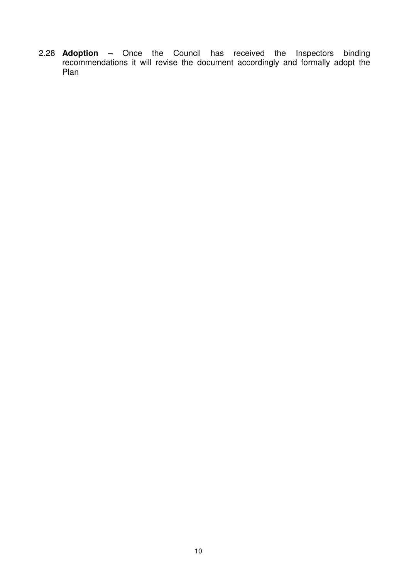2.28 **Adoption –** Once the Council has received the Inspectors binding recommendations it will revise the document accordingly and formally adopt the Plan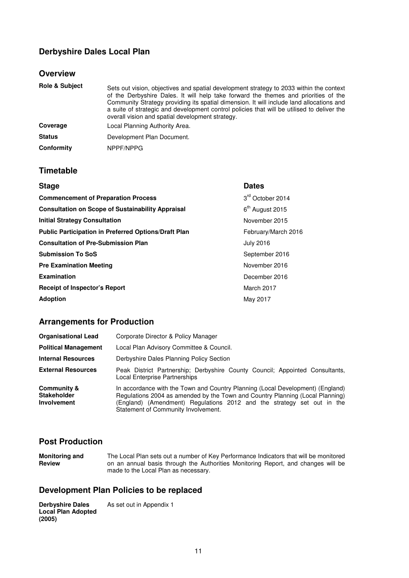# **Derbyshire Dales Local Plan**

#### **Overview**

| <b>Role &amp; Subject</b> | Sets out vision, objectives and spatial development strategy to 2033 within the context<br>of the Derbyshire Dales. It will help take forward the themes and priorities of the<br>Community Strategy providing its spatial dimension. It will include land allocations and<br>a suite of strategic and development control policies that will be utilised to deliver the<br>overall vision and spatial development strategy. |
|---------------------------|------------------------------------------------------------------------------------------------------------------------------------------------------------------------------------------------------------------------------------------------------------------------------------------------------------------------------------------------------------------------------------------------------------------------------|
| Coverage                  | Local Planning Authority Area.                                                                                                                                                                                                                                                                                                                                                                                               |
| <b>Status</b>             | Development Plan Document.                                                                                                                                                                                                                                                                                                                                                                                                   |
| Conformity                | NPPF/NPPG                                                                                                                                                                                                                                                                                                                                                                                                                    |

#### **Timetable**

| <b>Stage</b>                                                | <b>Dates</b>                |
|-------------------------------------------------------------|-----------------------------|
| <b>Commencement of Preparation Process</b>                  | 3rd October 2014            |
| <b>Consultation on Scope of Sustainability Appraisal</b>    | 6 <sup>th</sup> August 2015 |
| <b>Initial Strategy Consultation</b>                        | November 2015               |
| <b>Public Participation in Preferred Options/Draft Plan</b> | February/March 2016         |
| <b>Consultation of Pre-Submission Plan</b>                  | <b>July 2016</b>            |
| <b>Submission To SoS</b>                                    | September 2016              |
| <b>Pre Examination Meeting</b>                              | November 2016               |
| <b>Examination</b>                                          | December 2016               |
| <b>Receipt of Inspector's Report</b>                        | March 2017                  |
| <b>Adoption</b>                                             | May 2017                    |

# **Arrangements for Production**

| <b>Organisational Lead</b>                                         | Corporate Director & Policy Manager                                                                                                                                                                                                                                              |  |  |  |  |  |
|--------------------------------------------------------------------|----------------------------------------------------------------------------------------------------------------------------------------------------------------------------------------------------------------------------------------------------------------------------------|--|--|--|--|--|
| <b>Political Management</b>                                        | Local Plan Advisory Committee & Council.                                                                                                                                                                                                                                         |  |  |  |  |  |
| <b>Internal Resources</b>                                          | Derbyshire Dales Planning Policy Section                                                                                                                                                                                                                                         |  |  |  |  |  |
| <b>External Resources</b>                                          | Peak District Partnership: Derbyshire County Council: Appointed Consultants,<br>Local Enterprise Partnerships                                                                                                                                                                    |  |  |  |  |  |
| <b>Community &amp;</b><br><b>Stakeholder</b><br><b>Involvement</b> | In accordance with the Town and Country Planning (Local Development) (England)<br>Regulations 2004 as amended by the Town and Country Planning (Local Planning)<br>(England) (Amendment) Regulations 2012 and the strategy set out in the<br>Statement of Community Involvement. |  |  |  |  |  |

#### **Post Production**

**Monitoring and Review**  The Local Plan sets out a number of Key Performance Indicators that will be monitored on an annual basis through the Authorities Monitoring Report, and changes will be made to the Local Plan as necessary.

## **Development Plan Policies to be replaced**

**Derbyshire Dales Local Plan Adopted (2005)**  As set out in Appendix 1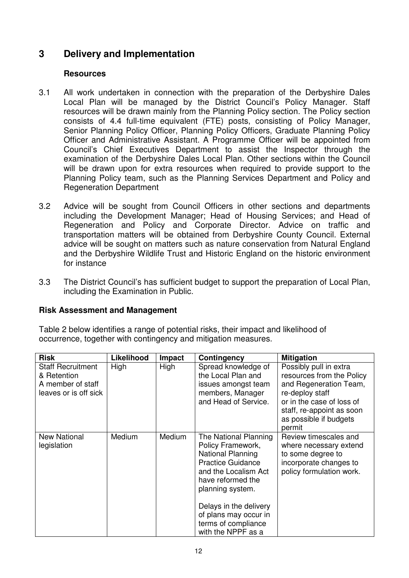# **3 Delivery and Implementation**

#### **Resources**

- 3.1 All work undertaken in connection with the preparation of the Derbyshire Dales Local Plan will be managed by the District Council's Policy Manager. Staff resources will be drawn mainly from the Planning Policy section. The Policy section consists of 4.4 full-time equivalent (FTE) posts, consisting of Policy Manager, Senior Planning Policy Officer, Planning Policy Officers, Graduate Planning Policy Officer and Administrative Assistant. A Programme Officer will be appointed from Council's Chief Executives Department to assist the Inspector through the examination of the Derbyshire Dales Local Plan. Other sections within the Council will be drawn upon for extra resources when required to provide support to the Planning Policy team, such as the Planning Services Department and Policy and Regeneration Department
- 3.2 Advice will be sought from Council Officers in other sections and departments including the Development Manager; Head of Housing Services; and Head of Regeneration and Policy and Corporate Director. Advice on traffic and transportation matters will be obtained from Derbyshire County Council. External advice will be sought on matters such as nature conservation from Natural England and the Derbyshire Wildlife Trust and Historic England on the historic environment for instance
- 3.3 The District Council's has sufficient budget to support the preparation of Local Plan, including the Examination in Public.

#### **Risk Assessment and Management**

Table 2 below identifies a range of potential risks, their impact and likelihood of occurrence, together with contingency and mitigation measures.

| <b>Risk</b>                                                                           | Likelihood    | <b>Impact</b> | Contingency                                                                                                                                                                                   | <b>Mitigation</b>                                                                                                                                                                              |
|---------------------------------------------------------------------------------------|---------------|---------------|-----------------------------------------------------------------------------------------------------------------------------------------------------------------------------------------------|------------------------------------------------------------------------------------------------------------------------------------------------------------------------------------------------|
| <b>Staff Recruitment</b><br>& Retention<br>A member of staff<br>leaves or is off sick | High          | High          | Spread knowledge of<br>the Local Plan and<br>issues amongst team<br>members, Manager<br>and Head of Service.                                                                                  | Possibly pull in extra<br>resources from the Policy<br>and Regeneration Team,<br>re-deploy staff<br>or in the case of loss of<br>staff, re-appoint as soon<br>as possible if budgets<br>permit |
| <b>New National</b><br>legislation                                                    | <b>Medium</b> | Medium        | The National Planning<br>Policy Framework,<br><b>National Planning</b><br><b>Practice Guidance</b><br>and the Localism Act<br>have reformed the<br>planning system.<br>Delays in the delivery | Review timescales and<br>where necessary extend<br>to some degree to<br>incorporate changes to<br>policy formulation work.                                                                     |
|                                                                                       |               |               | of plans may occur in<br>terms of compliance<br>with the NPPF as a                                                                                                                            |                                                                                                                                                                                                |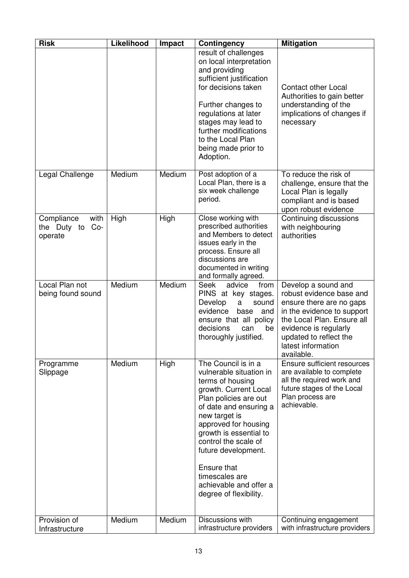| <b>Risk</b>                                           | Likelihood | Impact | <b>Contingency</b>                                                                                                                                                                                                                                                                                                                                    | <b>Mitigation</b>                                                                                                                                                                                                              |
|-------------------------------------------------------|------------|--------|-------------------------------------------------------------------------------------------------------------------------------------------------------------------------------------------------------------------------------------------------------------------------------------------------------------------------------------------------------|--------------------------------------------------------------------------------------------------------------------------------------------------------------------------------------------------------------------------------|
|                                                       |            |        | result of challenges<br>on local interpretation<br>and providing<br>sufficient justification<br>for decisions taken<br>Further changes to<br>regulations at later<br>stages may lead to<br>further modifications<br>to the Local Plan<br>being made prior to<br>Adoption.                                                                             | <b>Contact other Local</b><br>Authorities to gain better<br>understanding of the<br>implications of changes if<br>necessary                                                                                                    |
| Legal Challenge                                       | Medium     | Medium | Post adoption of a<br>Local Plan, there is a<br>six week challenge<br>period.                                                                                                                                                                                                                                                                         | To reduce the risk of<br>challenge, ensure that the<br>Local Plan is legally<br>compliant and is based<br>upon robust evidence                                                                                                 |
| Compliance<br>with<br>$Co-$<br>the Duty to<br>operate | High       | High   | Close working with<br>prescribed authorities<br>and Members to detect<br>issues early in the<br>process. Ensure all<br>discussions are<br>documented in writing<br>and formally agreed.                                                                                                                                                               | Continuing discussions<br>with neighbouring<br>authorities                                                                                                                                                                     |
| Local Plan not<br>being found sound                   | Medium     | Medium | <b>Seek</b><br>advice<br>from<br>PINS at key stages.<br>Develop<br>a<br>sound<br>evidence<br>base<br>and<br>ensure that all policy<br>decisions<br>can<br>be<br>thoroughly justified.                                                                                                                                                                 | Develop a sound and<br>robust evidence base and<br>ensure there are no gaps<br>in the evidence to support<br>the Local Plan. Ensure all<br>evidence is regularly<br>updated to reflect the<br>latest information<br>available. |
| Programme<br>Slippage                                 | Medium     | High   | The Council is in a<br>vulnerable situation in<br>terms of housing<br>growth. Current Local<br>Plan policies are out<br>of date and ensuring a<br>new target is<br>approved for housing<br>growth is essential to<br>control the scale of<br>future development.<br>Ensure that<br>timescales are<br>achievable and offer a<br>degree of flexibility. | Ensure sufficient resources<br>are available to complete<br>all the required work and<br>future stages of the Local<br>Plan process are<br>achievable.                                                                         |
| Provision of<br>Infrastructure                        | Medium     | Medium | Discussions with<br>infrastructure providers                                                                                                                                                                                                                                                                                                          | Continuing engagement<br>with infrastructure providers                                                                                                                                                                         |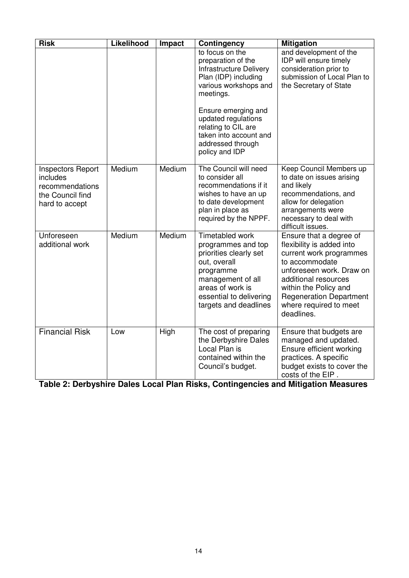| <b>Risk</b>                                                                                   | Likelihood | Impact | <b>Contingency</b>                                                                                                                                                                                                                                                          | <b>Mitigation</b>                                                                                                                                                                                                                                        |
|-----------------------------------------------------------------------------------------------|------------|--------|-----------------------------------------------------------------------------------------------------------------------------------------------------------------------------------------------------------------------------------------------------------------------------|----------------------------------------------------------------------------------------------------------------------------------------------------------------------------------------------------------------------------------------------------------|
|                                                                                               |            |        | to focus on the<br>preparation of the<br><b>Infrastructure Delivery</b><br>Plan (IDP) including<br>various workshops and<br>meetings.<br>Ensure emerging and<br>updated regulations<br>relating to CIL are<br>taken into account and<br>addressed through<br>policy and IDP | and development of the<br>IDP will ensure timely<br>consideration prior to<br>submission of Local Plan to<br>the Secretary of State                                                                                                                      |
| <b>Inspectors Report</b><br>includes<br>recommendations<br>the Council find<br>hard to accept | Medium     | Medium | The Council will need<br>to consider all<br>recommendations if it<br>wishes to have an up<br>to date development<br>plan in place as<br>required by the NPPF.                                                                                                               | Keep Council Members up<br>to date on issues arising<br>and likely<br>recommendations, and<br>allow for delegation<br>arrangements were<br>necessary to deal with<br>difficult issues.                                                                   |
| Unforeseen<br>additional work                                                                 | Medium     | Medium | Timetabled work<br>programmes and top<br>priorities clearly set<br>out, overall<br>programme<br>management of all<br>areas of work is<br>essential to delivering<br>targets and deadlines                                                                                   | Ensure that a degree of<br>flexibility is added into<br>current work programmes<br>to accommodate<br>unforeseen work. Draw on<br>additional resources<br>within the Policy and<br><b>Regeneration Department</b><br>where required to meet<br>deadlines. |
| <b>Financial Risk</b>                                                                         | Low        | High   | The cost of preparing<br>the Derbyshire Dales<br>Local Plan is<br>contained within the<br>Council's budget.                                                                                                                                                                 | Ensure that budgets are<br>managed and updated.<br>Ensure efficient working<br>practices. A specific<br>budget exists to cover the<br>costs of the EIP.                                                                                                  |

**Table 2: Derbyshire Dales Local Plan Risks, Contingencies and Mitigation Measures**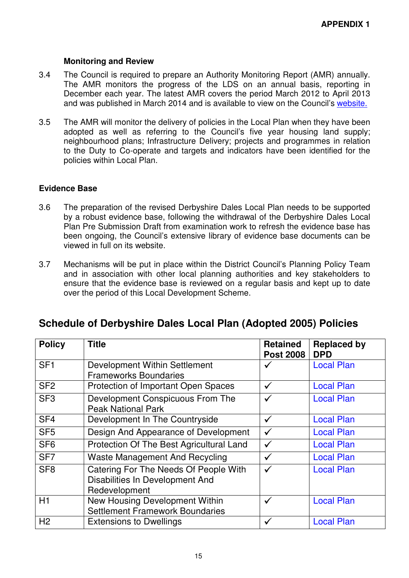#### **Monitoring and Review**

- 3.4 The Council is required to prepare an Authority Monitoring Report (AMR) annually. The AMR monitors the progress of the LDS on an annual basis, reporting in December each year. The latest AMR covers the period March 2012 to April 2013 and was published in March 2014 and is available to view on the Council's website.
- 3.5 The AMR will monitor the delivery of policies in the Local Plan when they have been adopted as well as referring to the Council's five year housing land supply; neighbourhood plans; Infrastructure Delivery; projects and programmes in relation to the Duty to Co-operate and targets and indicators have been identified for the policies within Local Plan.

## **Evidence Base**

- 3.6 The preparation of the revised Derbyshire Dales Local Plan needs to be supported by a robust evidence base, following the withdrawal of the Derbyshire Dales Local Plan Pre Submission Draft from examination work to refresh the evidence base has been ongoing, the Council's extensive library of evidence base documents can be viewed in full on its website.
- 3.7 Mechanisms will be put in place within the District Council's Planning Policy Team and in association with other local planning authorities and key stakeholders to ensure that the evidence base is reviewed on a regular basis and kept up to date over the period of this Local Development Scheme.

# **Schedule of Derbyshire Dales Local Plan (Adopted 2005) Policies**

| <b>Policy</b>   | <b>Title</b>                             | <b>Retained</b><br><b>Post 2008</b> | <b>Replaced by</b><br><b>DPD</b> |
|-----------------|------------------------------------------|-------------------------------------|----------------------------------|
| SF <sub>1</sub> | Development Within Settlement            |                                     | <b>Local Plan</b>                |
|                 | <b>Frameworks Boundaries</b>             |                                     |                                  |
| SF <sub>2</sub> | Protection of Important Open Spaces      | ✓                                   | <b>Local Plan</b>                |
| SF <sub>3</sub> | Development Conspicuous From The         |                                     | <b>Local Plan</b>                |
|                 | <b>Peak National Park</b>                |                                     |                                  |
| SF <sub>4</sub> | Development In The Countryside           | $\checkmark$                        | <b>Local Plan</b>                |
| SF <sub>5</sub> | Design And Appearance of Development     |                                     | <b>Local Plan</b>                |
| SF <sub>6</sub> | Protection Of The Best Agricultural Land |                                     | <b>Local Plan</b>                |
| SF <sub>7</sub> | <b>Waste Management And Recycling</b>    |                                     | <b>Local Plan</b>                |
| SF <sub>8</sub> | Catering For The Needs Of People With    | ✓                                   | <b>Local Plan</b>                |
|                 | Disabilities In Development And          |                                     |                                  |
|                 | Redevelopment                            |                                     |                                  |
| H1              | New Housing Development Within           |                                     | <b>Local Plan</b>                |
|                 | <b>Settlement Framework Boundaries</b>   |                                     |                                  |
| H <sub>2</sub>  | <b>Extensions to Dwellings</b>           |                                     | <b>Local Plan</b>                |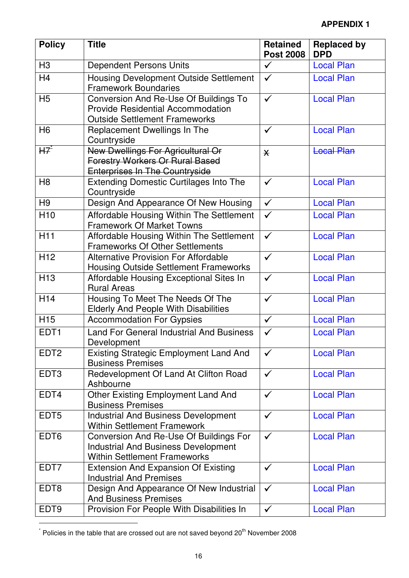| <b>Policy</b>    | <b>Title</b>                                                                                                                     | <b>Retained</b><br><b>Post 2008</b> | <b>Replaced by</b><br><b>DPD</b> |
|------------------|----------------------------------------------------------------------------------------------------------------------------------|-------------------------------------|----------------------------------|
| H <sub>3</sub>   | <b>Dependent Persons Units</b>                                                                                                   | $\checkmark$                        | <b>Local Plan</b>                |
| H <sub>4</sub>   | <b>Housing Development Outside Settlement</b><br><b>Framework Boundaries</b>                                                     | $\checkmark$                        | <b>Local Plan</b>                |
| H <sub>5</sub>   | <b>Conversion And Re-Use Of Buildings To</b><br><b>Provide Residential Accommodation</b><br><b>Outside Settlement Frameworks</b> | $\checkmark$                        | <b>Local Plan</b>                |
| H <sub>6</sub>   | Replacement Dwellings In The<br>Countryside                                                                                      | $\checkmark$                        | <b>Local Plan</b>                |
| $HZ^*$           | New Dwellings For Agricultural Or<br><b>Forestry Workers Or Rural Based</b><br><b>Enterprises In The Countryside</b>             | $\overline{\mathsf{X}}$             | <b>Local Plan</b>                |
| H <sub>8</sub>   | <b>Extending Domestic Curtilages Into The</b><br>Countryside                                                                     | $\checkmark$                        | <b>Local Plan</b>                |
| H9               | Design And Appearance Of New Housing                                                                                             | $\checkmark$                        | <b>Local Plan</b>                |
| H <sub>10</sub>  | Affordable Housing Within The Settlement<br><b>Framework Of Market Towns</b>                                                     | $\checkmark$                        | <b>Local Plan</b>                |
| H <sub>11</sub>  | Affordable Housing Within The Settlement<br><b>Frameworks Of Other Settlements</b>                                               | $\checkmark$                        | <b>Local Plan</b>                |
| H <sub>12</sub>  | <b>Alternative Provision For Affordable</b><br><b>Housing Outside Settlement Frameworks</b>                                      | $\checkmark$                        | <b>Local Plan</b>                |
| H <sub>13</sub>  | Affordable Housing Exceptional Sites In<br><b>Rural Areas</b>                                                                    | $\checkmark$                        | <b>Local Plan</b>                |
| H14              | Housing To Meet The Needs Of The<br><b>Elderly And People With Disabilities</b>                                                  | $\checkmark$                        | <b>Local Plan</b>                |
| H <sub>15</sub>  | <b>Accommodation For Gypsies</b>                                                                                                 | $\checkmark$                        | <b>Local Plan</b>                |
| EDT <sub>1</sub> | <b>Land For General Industrial And Business</b><br>Development                                                                   | $\checkmark$                        | <b>Local Plan</b>                |
| EDT <sub>2</sub> | <b>Existing Strategic Employment Land And</b><br><b>Business Premises</b>                                                        | $\checkmark$                        | <b>Local Plan</b>                |
| EDT <sub>3</sub> | Redevelopment Of Land At Clifton Road<br>Ashbourne                                                                               | $\checkmark$                        | <b>Local Plan</b>                |
| EDT4             | <b>Other Existing Employment Land And</b><br><b>Business Premises</b>                                                            | $\checkmark$                        | <b>Local Plan</b>                |
| EDT <sub>5</sub> | <b>Industrial And Business Development</b><br><b>Within Settlement Framework</b>                                                 | $\checkmark$                        | <b>Local Plan</b>                |
| EDT <sub>6</sub> | Conversion And Re-Use Of Buildings For<br><b>Industrial And Business Development</b><br><b>Within Settlement Frameworks</b>      | $\checkmark$                        | <b>Local Plan</b>                |
| EDT7             | <b>Extension And Expansion Of Existing</b><br><b>Industrial And Premises</b>                                                     | $\checkmark$                        | <b>Local Plan</b>                |
| EDT8             | Design And Appearance Of New Industrial<br><b>And Business Premises</b>                                                          | $\checkmark$                        | <b>Local Plan</b>                |
| EDT <sub>9</sub> | Provision For People With Disabilities In                                                                                        | $\checkmark$                        | <b>Local Plan</b>                |

 $^{*}$  Policies in the table that are crossed out are not saved beyond 20<sup>th</sup> November 2008

 $\overline{a}$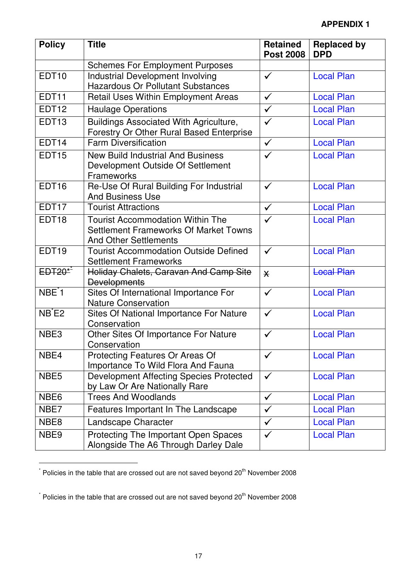| <b>Policy</b>      | <b>Title</b>                                                                                                     | <b>Retained</b><br><b>Post 2008</b> | <b>Replaced by</b><br><b>DPD</b> |
|--------------------|------------------------------------------------------------------------------------------------------------------|-------------------------------------|----------------------------------|
|                    | <b>Schemes For Employment Purposes</b>                                                                           |                                     |                                  |
| EDT <sub>10</sub>  | <b>Industrial Development Involving</b><br><b>Hazardous Or Pollutant Substances</b>                              | $\checkmark$                        | <b>Local Plan</b>                |
| EDT11              | Retail Uses Within Employment Areas                                                                              | $\checkmark$                        | <b>Local Plan</b>                |
| <b>EDT12</b>       | <b>Haulage Operations</b>                                                                                        | $\checkmark$                        | <b>Local Plan</b>                |
| EDT13              | Buildings Associated With Agriculture,<br>Forestry Or Other Rural Based Enterprise                               | $\checkmark$                        | <b>Local Plan</b>                |
| EDT14              | <b>Farm Diversification</b>                                                                                      | $\checkmark$                        | <b>Local Plan</b>                |
| <b>EDT15</b>       | <b>New Build Industrial And Business</b><br>Development Outside Of Settlement<br><b>Frameworks</b>               | $\checkmark$                        | <b>Local Plan</b>                |
| EDT <sub>16</sub>  | Re-Use Of Rural Building For Industrial<br><b>And Business Use</b>                                               | $\checkmark$                        | <b>Local Plan</b>                |
| EDT17              | <b>Tourist Attractions</b>                                                                                       | $\checkmark$                        | <b>Local Plan</b>                |
| EDT <sub>18</sub>  | <b>Tourist Accommodation Within The</b><br>Settlement Frameworks Of Market Towns<br><b>And Other Settlements</b> | $\checkmark$                        | <b>Local Plan</b>                |
| EDT <sub>19</sub>  | <b>Tourist Accommodation Outside Defined</b><br><b>Settlement Frameworks</b>                                     | $\checkmark$                        | <b>Local Plan</b>                |
| $EDT20*$           | Holiday Chalets, Caravan And Camp Site<br><b>Developments</b>                                                    | $\overline{\mathsf{X}}$             | <b>Local Plan</b>                |
| NBE <sup>*</sup> 1 | Sites Of International Importance For<br><b>Nature Conservation</b>                                              | $\checkmark$                        | <b>Local Plan</b>                |
| $NB$ $E2$          | Sites Of National Importance For Nature<br>Conservation                                                          | $\checkmark$                        | <b>Local Plan</b>                |
| NBE3               | Other Sites Of Importance For Nature<br>Conservation                                                             | $\checkmark$                        | <b>Local Plan</b>                |
| NBE4               | Protecting Features Or Areas Of<br>Importance To Wild Flora And Fauna                                            | $\checkmark$                        | <b>Local Plan</b>                |
| NBE <sub>5</sub>   | <b>Development Affecting Species Protected</b><br>by Law Or Are Nationally Rare                                  | $\checkmark$                        | <b>Local Plan</b>                |
| NBE <sub>6</sub>   | <b>Trees And Woodlands</b>                                                                                       | $\checkmark$                        | <b>Local Plan</b>                |
| NBE7               | Features Important In The Landscape                                                                              | $\checkmark$                        | <b>Local Plan</b>                |
| NBE8               | Landscape Character                                                                                              | $\checkmark$                        | <b>Local Plan</b>                |
| NBE <sub>9</sub>   | Protecting The Important Open Spaces<br>Alongside The A6 Through Darley Dale                                     | $\checkmark$                        | <b>Local Plan</b>                |

 $^*$  Policies in the table that are crossed out are not saved beyond 20<sup>th</sup> November 2008

 $\overline{\phantom{a}}$ 

 $\overline{a}$ 

 $^{*}$  Policies in the table that are crossed out are not saved beyond 20<sup>th</sup> November 2008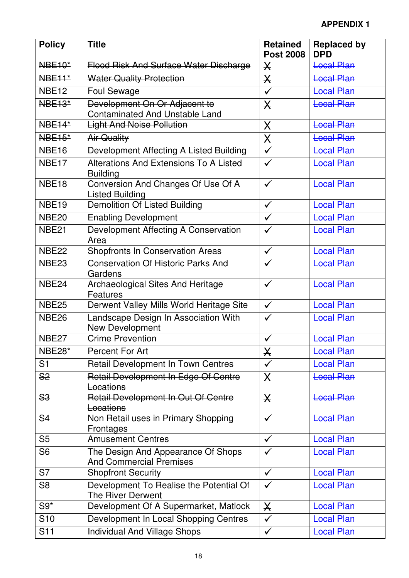| <b>Policy</b>     | <b>Title</b>                                                           | <b>Retained</b><br><b>Post 2008</b> | <b>Replaced by</b><br><b>DPD</b> |
|-------------------|------------------------------------------------------------------------|-------------------------------------|----------------------------------|
| <b>NBE10*</b>     | Flood Risk And Surface Water Discharge                                 | $\mathsf{X}$                        | <b>Local Plan</b>                |
| <b>NBE11*</b>     | <b>Water Quality Protection</b>                                        | $\overline{\mathsf{X}}$             | <b>Local Plan</b>                |
| NBE <sub>12</sub> | <b>Foul Sewage</b>                                                     | $\checkmark$                        | <b>Local Plan</b>                |
| <b>NBE13*</b>     | Development On Or Adjacent to<br><b>Contaminated And Unstable Land</b> | $\mathsf{X}$                        | <b>Local Plan</b>                |
| <b>NBE14*</b>     | <b>Light And Noise Pollution</b>                                       | $\boldsymbol{\times}$               | <b>Local Plan</b>                |
| <b>NBE15*</b>     | <b>Air Quality</b>                                                     | $\boldsymbol{\mathsf{X}}$           | <b>Local Plan</b>                |
| <b>NBE16</b>      | Development Affecting A Listed Building                                | $\checkmark$                        | <b>Local Plan</b>                |
| NBE <sub>17</sub> | Alterations And Extensions To A Listed<br><b>Building</b>              | $\checkmark$                        | <b>Local Plan</b>                |
| NBE <sub>18</sub> | Conversion And Changes Of Use Of A<br><b>Listed Building</b>           | $\checkmark$                        | <b>Local Plan</b>                |
| NBE <sub>19</sub> | Demolition Of Listed Building                                          | $\checkmark$                        | <b>Local Plan</b>                |
| <b>NBE20</b>      | <b>Enabling Development</b>                                            | $\checkmark$                        | <b>Local Plan</b>                |
| <b>NBE21</b>      | Development Affecting A Conservation<br>Area                           | $\checkmark$                        | <b>Local Plan</b>                |
| <b>NBE22</b>      | <b>Shopfronts In Conservation Areas</b>                                | $\checkmark$                        | <b>Local Plan</b>                |
| NBE <sub>23</sub> | <b>Conservation Of Historic Parks And</b><br>Gardens                   | $\checkmark$                        | <b>Local Plan</b>                |
| NBE <sub>24</sub> | <b>Archaeological Sites And Heritage</b><br>Features                   | $\checkmark$                        | <b>Local Plan</b>                |
| <b>NBE25</b>      | Derwent Valley Mills World Heritage Site                               | $\checkmark$                        | <b>Local Plan</b>                |
| <b>NBE26</b>      | Landscape Design In Association With<br>New Development                | $\checkmark$                        | <b>Local Plan</b>                |
| NBE <sub>27</sub> | <b>Crime Prevention</b>                                                | $\checkmark$                        | <b>Local Plan</b>                |
| <b>NBE28*</b>     | Percent For Art                                                        | X                                   | <b>Local Plan</b>                |
| S <sub>1</sub>    | Retail Development In Town Centres                                     | $\checkmark$                        | <b>Local Plan</b>                |
| S <sub>2</sub>    | Retail Development In Edge Of Centre<br>Locations                      | $\mathsf{X}$                        | <b>Local Plan</b>                |
| <b>S3</b>         | Retail Development In Out Of Centre<br>Locations                       | $\mathsf{X}$                        | <b>Local Plan</b>                |
| S <sub>4</sub>    | Non Retail uses in Primary Shopping<br>Frontages                       | $\checkmark$                        | <b>Local Plan</b>                |
| S <sub>5</sub>    | <b>Amusement Centres</b>                                               | $\checkmark$                        | <b>Local Plan</b>                |
| S <sub>6</sub>    | The Design And Appearance Of Shops<br><b>And Commercial Premises</b>   | $\checkmark$                        | <b>Local Plan</b>                |
| S7                | <b>Shopfront Security</b>                                              | $\checkmark$                        | <b>Local Plan</b>                |
| S <sub>8</sub>    | Development To Realise the Potential Of<br>The River Derwent           | $\checkmark$                        | <b>Local Plan</b>                |
| $S9*$             | Development Of A Supermarket, Matlock                                  | $\mathsf{X}$                        | <b>Local Plan</b>                |
| S <sub>10</sub>   | Development In Local Shopping Centres                                  | $\checkmark$                        | <b>Local Plan</b>                |
| S <sub>11</sub>   | <b>Individual And Village Shops</b>                                    | $\checkmark$                        | <b>Local Plan</b>                |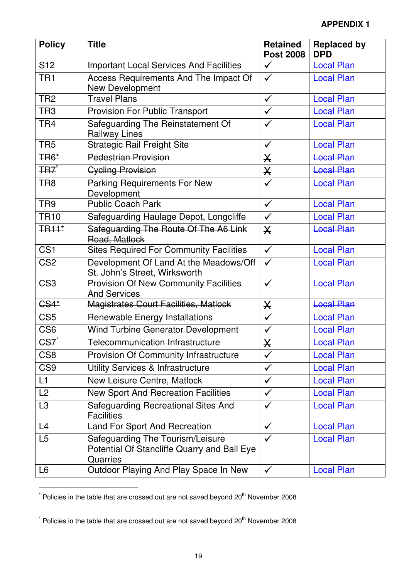| <b>Policy</b>    | <b>Title</b>                                                                                | <b>Retained</b><br><b>Post 2008</b> | <b>Replaced by</b><br><b>DPD</b> |
|------------------|---------------------------------------------------------------------------------------------|-------------------------------------|----------------------------------|
| S <sub>12</sub>  | <b>Important Local Services And Facilities</b>                                              | $\checkmark$                        | <b>Local Plan</b>                |
| TR <sub>1</sub>  | Access Requirements And The Impact Of<br><b>New Development</b>                             | $\checkmark$                        | <b>Local Plan</b>                |
| TR <sub>2</sub>  | <b>Travel Plans</b>                                                                         | $\checkmark$                        | <b>Local Plan</b>                |
| TR <sub>3</sub>  | <b>Provision For Public Transport</b>                                                       | $\checkmark$                        | <b>Local Plan</b>                |
| TR4              | Safeguarding The Reinstatement Of<br><b>Railway Lines</b>                                   | ✓                                   | <b>Local Plan</b>                |
| TR <sub>5</sub>  | <b>Strategic Rail Freight Site</b>                                                          | $\checkmark$                        | <b>Local Plan</b>                |
| <b>TR6*</b>      | <b>Pedestrian Provision</b>                                                                 | $\boldsymbol{\mathsf{X}}$           | <b>Local Plan</b>                |
| <b>TR7</b>       | <b>Cycling Provision</b>                                                                    | X                                   | <b>Local Plan</b>                |
| TR8              | <b>Parking Requirements For New</b><br>Development                                          | $\checkmark$                        | <b>Local Plan</b>                |
| TR9              | <b>Public Coach Park</b>                                                                    | $\checkmark$                        | <b>Local Plan</b>                |
| <b>TR10</b>      | Safeguarding Haulage Depot, Longcliffe                                                      | $\checkmark$                        | <b>Local Plan</b>                |
| <b>TR11*</b>     | Safeguarding The Route Of The A6 Link<br>Road, Matlock                                      | $\mathsf{X}$                        | <b>Local Plan</b>                |
| CS <sub>1</sub>  | <b>Sites Required For Community Facilities</b>                                              | $\checkmark$                        | <b>Local Plan</b>                |
| CS <sub>2</sub>  | Development Of Land At the Meadows/Off<br>St. John's Street, Wirksworth                     | $\checkmark$                        | <b>Local Plan</b>                |
| CS <sub>3</sub>  | <b>Provision Of New Community Facilities</b><br><b>And Services</b>                         | $\checkmark$                        | <b>Local Plan</b>                |
| <b>CS4*</b>      | Magistrates Court Facilities, Matlock                                                       | X                                   | <b>Local Plan</b>                |
| CS <sub>5</sub>  | Renewable Energy Installations                                                              | $\checkmark$                        | <b>Local Plan</b>                |
| CS <sub>6</sub>  | <b>Wind Turbine Generator Development</b>                                                   | $\checkmark$                        | <b>Local Plan</b>                |
| GS7 <sup>*</sup> | Telecommunication Infrastructure                                                            | $\mathsf{X}% _{T}$                  | <b>Local Plan</b>                |
| CS <sub>8</sub>  | <b>Provision Of Community Infrastructure</b>                                                | $\checkmark$                        | <b>Local Plan</b>                |
| CS <sub>9</sub>  | <b>Utility Services &amp; Infrastructure</b>                                                | $\checkmark$                        | <b>Local Plan</b>                |
| L1               | <b>New Leisure Centre, Matlock</b>                                                          | $\checkmark$                        | <b>Local Plan</b>                |
| L2               | <b>New Sport And Recreation Facilities</b>                                                  | $\checkmark$                        | <b>Local Plan</b>                |
| L <sub>3</sub>   | Safeguarding Recreational Sites And<br><b>Facilities</b>                                    | $\checkmark$                        | <b>Local Plan</b>                |
| L4               | <b>Land For Sport And Recreation</b>                                                        | $\checkmark$                        | <b>Local Plan</b>                |
| L5               | Safeguarding The Tourism/Leisure<br>Potential Of Stancliffe Quarry and Ball Eye<br>Quarries | $\checkmark$                        | <b>Local Plan</b>                |
| L <sub>6</sub>   | Outdoor Playing And Play Space In New                                                       | $\checkmark$                        | <b>Local Plan</b>                |

 $^{*}$  Policies in the table that are crossed out are not saved beyond 20<sup>th</sup> November 2008

l

 $^*$  Policies in the table that are crossed out are not saved beyond 20<sup>th</sup> November 2008